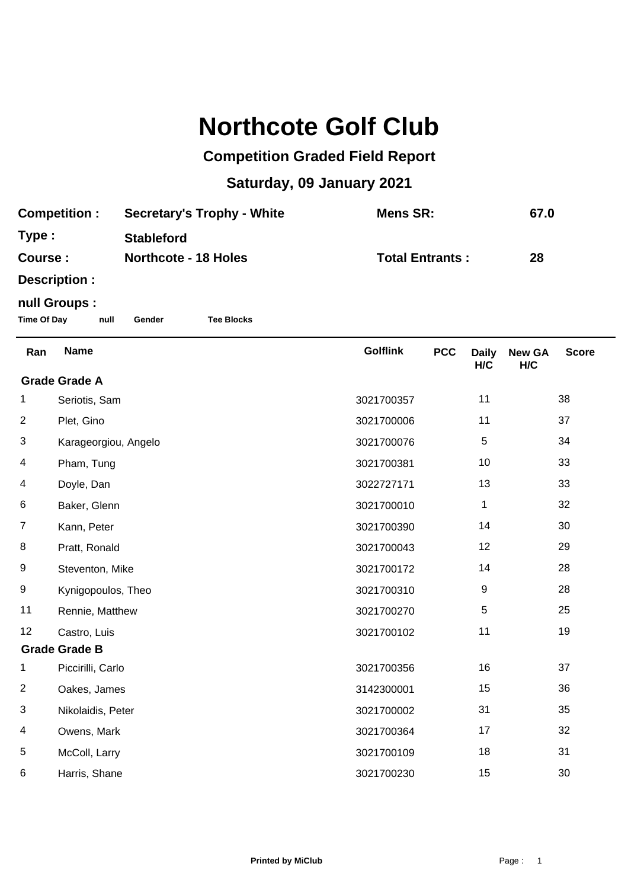## **Northcote Golf Club**

## **Competition Graded Field Report**

## **Saturday, 09 January 2021**

| <b>Competition:</b> | <b>Secretary's Trophy - White</b> | Mens SR:               | 67.0 |
|---------------------|-----------------------------------|------------------------|------|
| Type:               | <b>Stableford</b>                 |                        |      |
| Course :            | <b>Northcote - 18 Holes</b>       | <b>Total Entrants:</b> | 28   |
| Doografian :        |                                   |                        |      |

**Description :**

## **null Groups :**

**Time Of Day null Gender Tee Blocks**

| Ran                  | <b>Name</b>          | <b>Golflink</b> | <b>PCC</b> | <b>Daily</b><br>H/C | <b>New GA</b><br>H/C | <b>Score</b> |  |
|----------------------|----------------------|-----------------|------------|---------------------|----------------------|--------------|--|
| <b>Grade Grade A</b> |                      |                 |            |                     |                      |              |  |
| 1                    | Seriotis, Sam        | 3021700357      |            | 11                  |                      | 38           |  |
| $\overline{2}$       | Plet, Gino           | 3021700006      |            | 11                  |                      | 37           |  |
| 3                    | Karageorgiou, Angelo | 3021700076      |            | 5                   |                      | 34           |  |
| 4                    | Pham, Tung           | 3021700381      |            | 10                  |                      | 33           |  |
| 4                    | Doyle, Dan           | 3022727171      |            | 13                  |                      | 33           |  |
| 6                    | Baker, Glenn         | 3021700010      |            | 1                   |                      | 32           |  |
| $\overline{7}$       | Kann, Peter          | 3021700390      |            | 14                  |                      | 30           |  |
| 8                    | Pratt, Ronald        | 3021700043      |            | 12                  |                      | 29           |  |
| 9                    | Steventon, Mike      | 3021700172      |            | 14                  |                      | 28           |  |
| 9                    | Kynigopoulos, Theo   | 3021700310      |            | 9                   |                      | 28           |  |
| 11                   | Rennie, Matthew      | 3021700270      |            | $\,$ 5 $\,$         |                      | 25           |  |
| 12                   | Castro, Luis         | 3021700102      |            | 11                  |                      | 19           |  |
| <b>Grade Grade B</b> |                      |                 |            |                     |                      |              |  |
| 1                    | Piccirilli, Carlo    | 3021700356      |            | 16                  |                      | 37           |  |
| $\overline{c}$       | Oakes, James         | 3142300001      |            | 15                  |                      | 36           |  |
| 3                    | Nikolaidis, Peter    | 3021700002      |            | 31                  |                      | 35           |  |
| 4                    | Owens, Mark          | 3021700364      |            | 17                  |                      | 32           |  |
| 5                    | McColl, Larry        | 3021700109      |            | 18                  |                      | 31           |  |
| 6                    | Harris, Shane        | 3021700230      |            | 15                  |                      | 30           |  |